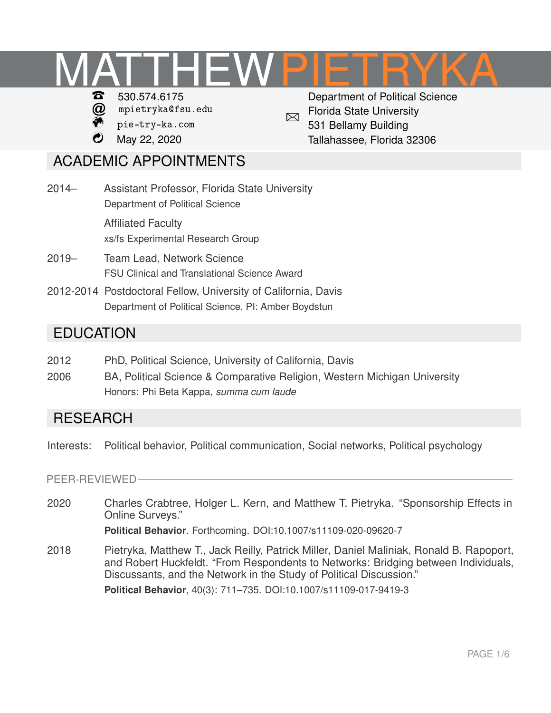# **MATTHEW** PIETRYKA



- $\omega$  [mpietryka@fsu.edu](mailto:mpietryka@fsu.edu)
- [pie-try-ka.com](https://pie-try-ka.com/)
- ß May 22, 2020

 $\boxtimes$ Department of Political Science Florida State University 531 Bellamy Building Tallahassee, Florida 32306

## ACADEMIC APPOINTMENTS

- 2014– Assistant Professor, Florida State University Department of Political Science Affiliated Faculty [xs/fs Experimental Research Group](http://www.xsfs.fsu.edu/)
- 2019– Team Lead, Network Science [FSU Clinical and Translational Science Award](https://news.fsu.edu/news/health-medicine/2019/07/30/fsu-and-uf-receive-29-million-to-speed-discoveries-leading-to-better-health/)
- 2012-2014 Postdoctoral Fellow, University of California, Davis Department of Political Science, PI: Amber Boydstun

## **EDUCATION**

- 2012 PhD, Political Science, University of California, Davis
- 2006 BA, Political Science & Comparative Religion, Western Michigan University Honors: Phi Beta Kappa, *summa cum laude*

## **RESEARCH**

Interests: Political behavior, Political communication, Social networks, Political psychology

PEER-REVIEWED

2020 [Charles Crabtree, Holger L. Kern, and Matthew T. Pietryka. "Sponsorship Effects in](https://doi.org/10.1007/s11109-020-09620-7) [Online Surveys."](https://doi.org/10.1007/s11109-020-09620-7)

**Political Behavior**. Forthcoming. DOI:10.1007/s11109-020-09620-7

2018 [Pietryka, Matthew T., Jack Reilly, Patrick Miller, Daniel Maliniak, Ronald B. Rapoport,](https://link.springer.com/article/10.1007/s11109-017-9419-3) [and Robert Huckfeldt. "From Respondents to Networks: Bridging between Individuals,](https://link.springer.com/article/10.1007/s11109-017-9419-3) [Discussants, and the Network in the Study of Political Discussion."](https://link.springer.com/article/10.1007/s11109-017-9419-3) **Political Behavior**, 40(3): 711–735. DOI:10.1007/s11109-017-9419-3

PAGE 1[/6](#page-5-0)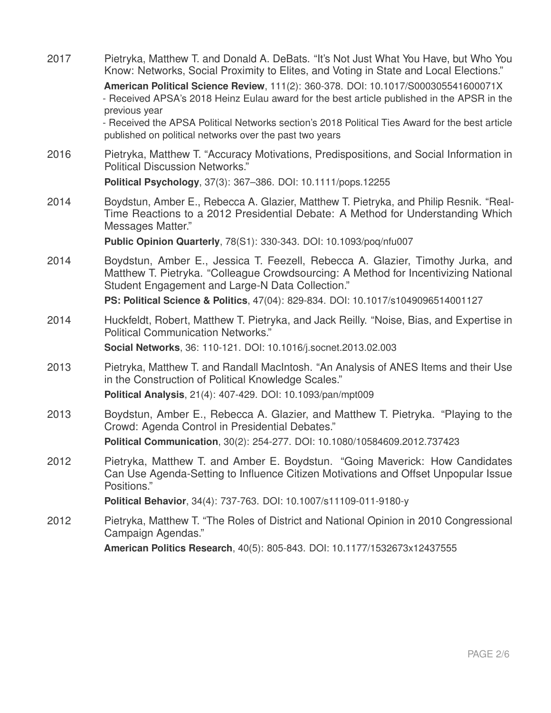2017 [Pietryka, Matthew T. and Donald A. DeBats. "It's Not Just What You Have, but Who You](https://doi.org/10.1017/S000305541600071X) [Know: Networks, Social Proximity to Elites, and Voting in State and Local Elections."](https://doi.org/10.1017/S000305541600071X) **American Political Science Review**, 111(2): 360-378. DOI: 10.1017/S000305541600071X - Received APSA's 2018 Heinz Eulau award for the best article published in the APSR in the previous year - Received the APSA Political Networks section's 2018 Political Ties Award for the best article published on political networks over the past two years 2016 [Pietryka, Matthew T. "Accuracy Motivations, Predispositions, and Social Information in](http://onlinelibrary.wiley.com/doi/10.1111/pops.12255/abstract) [Political Discussion Networks."](http://onlinelibrary.wiley.com/doi/10.1111/pops.12255/abstract) **Political Psychology**, 37(3): 367–386. DOI: 10.1111/pops.12255 2014 [Boydstun, Amber E., Rebecca A. Glazier, Matthew T. Pietryka, and Philip Resnik. "Real-](http://poq.oxfordjournals.org/content/78/S1/330.short)[Time Reactions to a 2012 Presidential Debate: A Method for Understanding Which](http://poq.oxfordjournals.org/content/78/S1/330.short) [Messages Matter."](http://poq.oxfordjournals.org/content/78/S1/330.short) **Public Opinion Quarterly**, 78(S1): 330-343. DOI: 10.1093/poq/nfu007 2014 [Boydstun, Amber E., Jessica T. Feezell, Rebecca A. Glazier, Timothy Jurka, and](http://journals.cambridge.org/action/displayAbstract?fromPage=online&aid=9365721&fileId=S1049096514001127) [Matthew T. Pietryka. "Colleague Crowdsourcing: A Method for Incentivizing National](http://journals.cambridge.org/action/displayAbstract?fromPage=online&aid=9365721&fileId=S1049096514001127) [Student Engagement and Large-N Data Collection."](http://journals.cambridge.org/action/displayAbstract?fromPage=online&aid=9365721&fileId=S1049096514001127) **PS: Political Science & Politics**, 47(04): 829-834. DOI: 10.1017/s1049096514001127 2014 [Huckfeldt, Robert, Matthew T. Pietryka, and Jack Reilly. "Noise, Bias, and Expertise in](http://www.sciencedirect.com/science/article/pii/S0378873313000105) [Political Communication Networks."](http://www.sciencedirect.com/science/article/pii/S0378873313000105) **Social Networks**, 36: 110-121. DOI: 10.1016/j.socnet.2013.02.003 2013 [Pietryka, Matthew T. and Randall MacIntosh. "An Analysis of ANES Items and their Use](http://pan.oxfordjournals.org/content/early/2013/06/17/pan.mpt009.full?sid=2522cf6b-f46b-42a8-b1b1-9cfec462f703) [in the Construction of Political Knowledge Scales."](http://pan.oxfordjournals.org/content/early/2013/06/17/pan.mpt009.full?sid=2522cf6b-f46b-42a8-b1b1-9cfec462f703) **Political Analysis**, 21(4): 407-429. DOI: 10.1093/pan/mpt009 2013 [Boydstun, Amber E., Rebecca A. Glazier, and Matthew T. Pietryka. "Playing to the](http://www.tandfonline.com/doi/abs/10.1080/10584609.2012.737423) [Crowd: Agenda Control in Presidential Debates."](http://www.tandfonline.com/doi/abs/10.1080/10584609.2012.737423) **Political Communication**, 30(2): 254-277. DOI: 10.1080/10584609.2012.737423 2012 [Pietryka, Matthew T. and Amber E. Boydstun. "Going Maverick: How Candidates](http://www.springerlink.com/content/n50n20p10115h315/) [Can Use Agenda-Setting to Influence Citizen Motivations and Offset Unpopular Issue](http://www.springerlink.com/content/n50n20p10115h315/) [Positions."](http://www.springerlink.com/content/n50n20p10115h315/) **Political Behavior**, 34(4): 737-763. DOI: 10.1007/s11109-011-9180-y 2012 [Pietryka, Matthew T. "The Roles of District and National Opinion in 2010 Congressional](http://apr.sagepub.com/content/early/2012/06/06/1532673X12437555.abstract) [Campaign Agendas."](http://apr.sagepub.com/content/early/2012/06/06/1532673X12437555.abstract) **American Politics Research**, 40(5): 805-843. DOI: 10.1177/1532673x12437555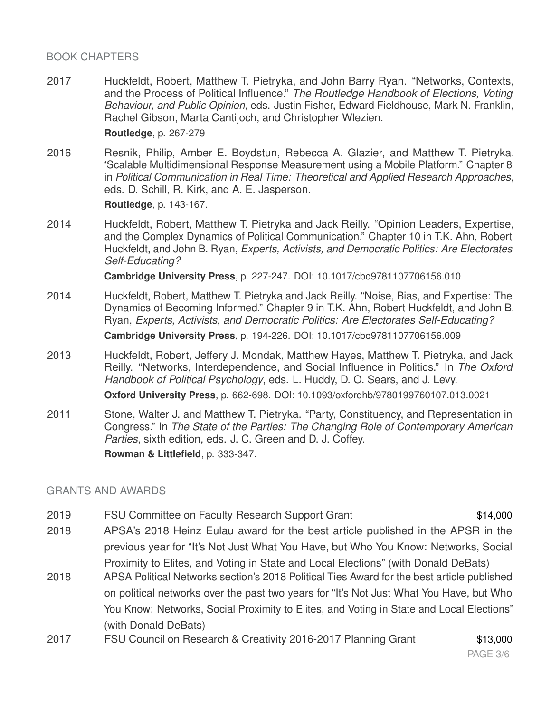BOOK CHAPTERS

2017 Huckfeldt, Robert, Matthew T. Pietryka, and John Barry Ryan. "Networks, Contexts, and the Process of Political Influence." *The Routledge Handbook of Elections, Voting Behaviour, and Public Opinion*, eds. Justin Fisher, Edward Fieldhouse, Mark N. Franklin, Rachel Gibson, Marta Cantijoch, and Christopher Wlezien.

**Routledge**, p. 267-279

2016 Resnik, Philip, Amber E. Boydstun, Rebecca A. Glazier, and Matthew T. Pietryka. "Scalable Multidimensional Response Measurement using a Mobile Platform." Chapter 8 in *Political Communication in Real Time: Theoretical and Applied Research Approaches*, eds. D. Schill, R. Kirk, and A. E. Jasperson.

**Routledge**, p. 143-167.

2014 [Huckfeldt, Robert, Matthew T. Pietryka and Jack Reilly. "Opinion Leaders, Expertise,](http://www.cambridge.org/us/academic/subjects/politics-international-relations/research-methods-politics/experts-activists-and-democratic-politics-are-electorates-self-educating) [and the Complex Dynamics of Political Communication." Chapter 10 in T.K. Ahn, Robert](http://www.cambridge.org/us/academic/subjects/politics-international-relations/research-methods-politics/experts-activists-and-democratic-politics-are-electorates-self-educating) Huckfeldt, and John B. Ryan, *[Experts, Activists, and Democratic Politics: Are Electorates](http://www.cambridge.org/us/academic/subjects/politics-international-relations/research-methods-politics/experts-activists-and-democratic-politics-are-electorates-self-educating) [Self-Educating?](http://www.cambridge.org/us/academic/subjects/politics-international-relations/research-methods-politics/experts-activists-and-democratic-politics-are-electorates-self-educating)*

**Cambridge University Press**, p. 227-247. DOI: 10.1017/cbo9781107706156.010

- 2014 [Huckfeldt, Robert, Matthew T. Pietryka and Jack Reilly. "Noise, Bias, and Expertise: The](http://www.cambridge.org/us/academic/subjects/politics-international-relations/research-methods-politics/experts-activists-and-democratic-politics-are-electorates-self-educating) [Dynamics of Becoming Informed." Chapter 9 in T.K. Ahn, Robert Huckfeldt, and John B.](http://www.cambridge.org/us/academic/subjects/politics-international-relations/research-methods-politics/experts-activists-and-democratic-politics-are-electorates-self-educating) Ryan, *[Experts, Activists, and Democratic Politics: Are Electorates Self-Educating?](http://www.cambridge.org/us/academic/subjects/politics-international-relations/research-methods-politics/experts-activists-and-democratic-politics-are-electorates-self-educating)* **Cambridge University Press**, p. 194-226. DOI: 10.1017/cbo9781107706156.009
- 2013 Huckfeldt, Robert, Jeffery J. Mondak, Matthew Hayes, Matthew T. Pietryka, and Jack Reilly. "Networks, Interdependence, and Social Influence in Politics." In *The Oxford Handbook of Political Psychology*, eds. L. Huddy, D. O. Sears, and J. Levy. **Oxford University Press**, p. 662-698. DOI: 10.1093/oxfordhb/9780199760107.013.0021
- 2011 Stone, Walter J. and Matthew T. Pietryka. "Party, Constituency, and Representation in Congress." In *The State of the Parties: The Changing Role of Contemporary American Parties*, sixth edition, eds. J. C. Green and D. J. Coffey. **Rowman & Littlefield**, p. 333-347.

GRANTS AND AWARDS

- 2019 FSU Committee on Faculty Research Support Grant \$14,000
	-
- 2018 APSA's 2018 Heinz Eulau award for the best article published in the APSR in the previous year for "It's Not Just What You Have, but Who You Know: Networks, Social Proximity to Elites, and Voting in State and Local Elections" (with Donald DeBats)
- 2018 APSA Political Networks section's 2018 Political Ties Award for the best article published on political networks over the past two years for "It's Not Just What You Have, but Who You Know: Networks, Social Proximity to Elites, and Voting in State and Local Elections" (with Donald DeBats)
- 2017 FSU Council on Research & Creativity 2016-2017 Planning Grant \$13,000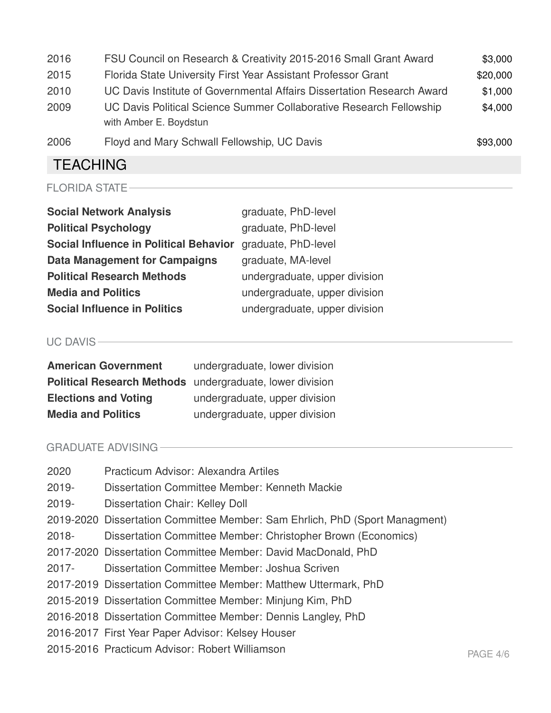| 2016 | FSU Council on Research & Creativity 2015-2016 Small Grant Award       | \$3,000  |
|------|------------------------------------------------------------------------|----------|
| 2015 | Florida State University First Year Assistant Professor Grant          | \$20,000 |
| 2010 | UC Davis Institute of Governmental Affairs Dissertation Research Award | \$1,000  |
| 2009 | UC Davis Political Science Summer Collaborative Research Fellowship    | \$4,000  |
|      | with Amber E. Boydstun                                                 |          |
| 2006 | Floyd and Mary Schwall Fellowship, UC Davis                            | \$93,000 |

## **TEACHING**

| <b>Social Network Analysis</b>                | graduate, PhD-level           |
|-----------------------------------------------|-------------------------------|
| <b>Political Psychology</b>                   | graduate, PhD-level           |
| <b>Social Influence in Political Behavior</b> | graduate, PhD-level           |
| <b>Data Management for Campaigns</b>          | graduate, MA-level            |
| <b>Political Research Methods</b>             | undergraduate, upper division |
| <b>Media and Politics</b>                     | undergraduate, upper division |
| <b>Social Influence in Politics</b>           | undergraduate, upper division |

UC DAVIS<sup>-</sup>

| <b>American Government</b>  | undergraduate, lower division                            |
|-----------------------------|----------------------------------------------------------|
|                             | Political Research Methods undergraduate, lower division |
| <b>Elections and Voting</b> | undergraduate, upper division                            |
| <b>Media and Politics</b>   | undergraduate, upper division                            |

#### GRADUATE ADVISING

| 2020     | Practicum Advisor: Alexandra Artiles                                        |          |
|----------|-----------------------------------------------------------------------------|----------|
| 2019-    | Dissertation Committee Member: Kenneth Mackie                               |          |
| 2019-    | Dissertation Chair: Kelley Doll                                             |          |
|          | 2019-2020 Dissertation Committee Member: Sam Ehrlich, PhD (Sport Managment) |          |
| $2018 -$ | Dissertation Committee Member: Christopher Brown (Economics)                |          |
|          | 2017-2020 Dissertation Committee Member: David MacDonald, PhD               |          |
| 2017-    | Dissertation Committee Member: Joshua Scriven                               |          |
|          | 2017-2019 Dissertation Committee Member: Matthew Uttermark, PhD             |          |
|          | 2015-2019 Dissertation Committee Member: Minjung Kim, PhD                   |          |
|          | 2016-2018 Dissertation Committee Member: Dennis Langley, PhD                |          |
|          | 2016-2017 First Year Paper Advisor: Kelsey Houser                           |          |
|          | 2015-2016 Practicum Advisor: Robert Williamson                              | PAGE 4/6 |
|          |                                                                             |          |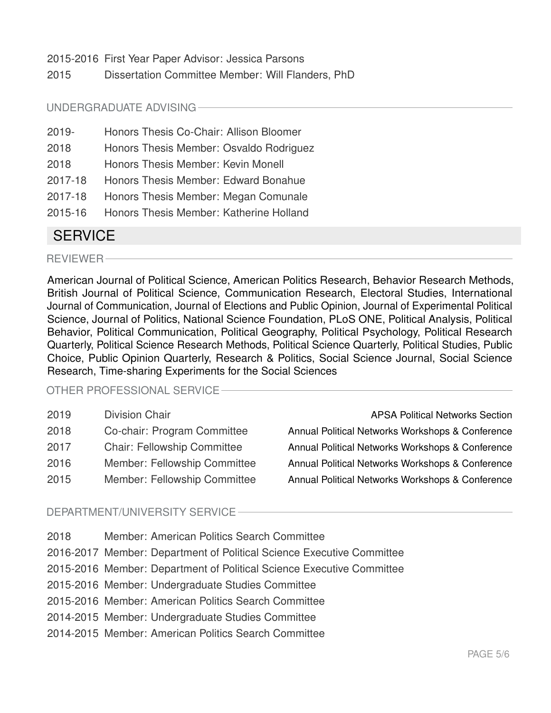2015-2016 First Year Paper Advisor: Jessica Parsons

2015 Dissertation Committee Member: Will Flanders, PhD

#### UNDERGRADUATE ADVISING

- 2019- Honors Thesis Co-Chair: Allison Bloomer
- 2018 Honors Thesis Member: Osvaldo Rodriguez
- 2018 Honors Thesis Member: Kevin Monell
- 2017-18 Honors Thesis Member: Edward Bonahue
- 2017-18 Honors Thesis Member: Megan Comunale
- 2015-16 Honors Thesis Member: Katherine Holland

### **SERVICE**

REVIEWER

American Journal of Political Science, American Politics Research, Behavior Research Methods, British Journal of Political Science, Communication Research, Electoral Studies, International Journal of Communication, Journal of Elections and Public Opinion, Journal of Experimental Political Science, Journal of Politics, National Science Foundation, PLoS ONE, Political Analysis, Political Behavior, Political Communication, Political Geography, Political Psychology, Political Research Quarterly, Political Science Research Methods, Political Science Quarterly, Political Studies, Public Choice, Public Opinion Quarterly, Research & Politics, Social Science Journal, Social Science Research, Time-sharing Experiments for the Social Sciences

#### OTHER PROFESSIONAL SERVICE

| 2019 | <b>Division Chair</b>              | <b>APSA Political Networks Section</b>           |
|------|------------------------------------|--------------------------------------------------|
| 2018 | Co-chair: Program Committee        | Annual Political Networks Workshops & Conference |
| 2017 | <b>Chair: Fellowship Committee</b> | Annual Political Networks Workshops & Conference |
| 2016 | Member: Fellowship Committee       | Annual Political Networks Workshops & Conference |
| 2015 | Member: Fellowship Committee       | Annual Political Networks Workshops & Conference |

#### DEPARTMENT/UNIVERSITY SERVICE

- 2018 Member: American Politics Search Committee
- 2016-2017 Member: Department of Political Science Executive Committee
- 2015-2016 Member: Department of Political Science Executive Committee
- 2015-2016 Member: Undergraduate Studies Committee
- 2015-2016 Member: American Politics Search Committee
- 2014-2015 Member: Undergraduate Studies Committee
- 2014-2015 Member: American Politics Search Committee